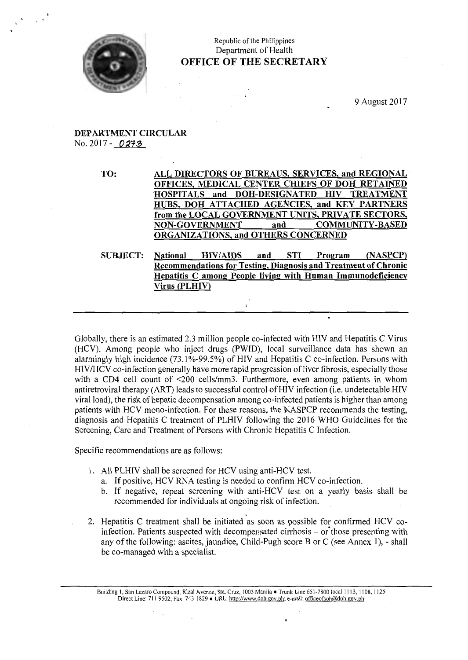

# Republic of the Philippines Department of Health **OFFICE OF THE SECRETARY**

# **DEPARTMENT CIRCULAR**  No. 2017 - 0273

**TO: ALL DIRECTORS OF BUREAUS, SERVICES, and REGIONAL OFFICES, MEDICAL CENTER CHIEFS OF DOH RETAINED 'HOSPITALS and DOH-DESIGNATED HIV TREATMENT HUBS, DOH ATTACHED AGENCIES, and KEY PARTNERS from the LOCAL GOVERNMENT UNITS, PRIVATE SECTORS, NON-GOVERNMENT and COMMUNITY-BASED ORGANIZATIONS, and OTHERS CONCERNED** 

**SUBJECT: National HIV/AIDS and STI Program (NASPCP) Recommendations for Testing, Diagnosis and Treatment of Chronic Hepatitis C among People living with Human Immunodeficiency Virus (PLHI\')** 

 $\ddot{\phantom{a}}$ 

Globally, there is an estimated 2.3 million people co-infected with HIV and Hepatitis C Virus (HCV). Among people who inject drugs (PWID), local surveillance data has shown an alarmingly high incidence  $(73.1\% - 99.5\%)$  of HIV and Hepatitis C co-infection. Persons with HIV/HCV co-infection generally have more rapid progression of liver fibrosis, especially those with a CD4 cell count of <200 cells/mm3. Furthermore, even among patients in whom antiretroviral therapy (ART) leads to successful control ofHIV infection (i.e. undetectable HIV viral load), the risk of hepatic decompensation among co-infected patients is higher than among patients with HCV mono-infection. For these reasons, the NASPCP recommends the testing, diagnosis and Hepatitis C treatment of PLHIV following the 2016 WHO Guidelines for the Screening, Care and Treatment of Persons with Chronic Hepatitis C Infection.

Specific recommendations are as follows:

- 1. All PLHIV shall be screened for HCV using anti-HCV test.
	- a. If positive, HCV RNA testing is needed to confirm HCV co-infection.
	- b. If negative, repeat screening with anti-HCV test on a yearly basis shall be recommended for individuals at ongoing risk of infection.
- 2. Hepatitis C treatment shall be initiated as soon as possible for confirmed HCV coinfection. Patients suspected with decompensated cirrhosis  $-$  or those presenting with any of the following: ascites, jaundice, Child-Pugh score B or C (see Annex 1), - shall be co-managed with a specialist.

Building 1, San Lazaro Compound, Rizal Avenue, Sta. Cruz, 1003 Manila • Trunk Line 651-7800 local 1113, 1108, 1125 Direct Line: 711 9502; Fax: 743-1829 • URL: http://www.doh.gov.ph; e-mail: officeofsoh@doh.gov.ph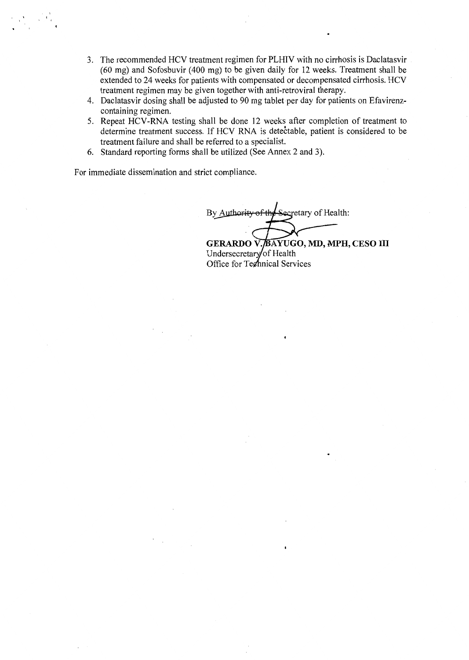- 3. The recommended HCV treatment regimen for PLHIV with no cirrhosis is Daclatasvir (60 mg) and Sofosbuvir (400 mg) to be given daily for 12 weeks. Treatment shall be extended to 24 weeks for patients with compensated or decompensated cirrhosis. HCV treatment regimen may be given together with anti-retroviral therapy.
- 4. Daclatasvir dosing shall be adjusted to 90 mg tablet per day for patients on Efavirenzcontaining regimen.
- 5. Repeat HCV -RNA testing shall be done 12 weeks after completion of treatment to determine treatment success. If HCV RNA is detectable, patient is considered to be treatment failure and shall be referred to a specialist.
- 6. Standard reporting forms shall be utilized (See Annex 2 and 3).

For immediate dissemination and strict compliance.

By Authority Secretary of Health:

GERARDO V. BAYUGO, MD, MPH, CESO III Undersecretary of Health Office for Technical Services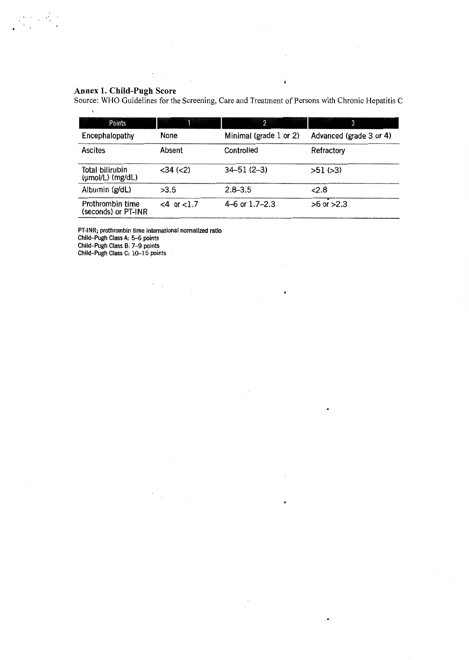#### **Annex 1. Child-Pugh Score**

 $\mathbf{r}$ 

 $\mathbb{R}^2$ 

Source: WHO Guidelines for the Screening, Care and Treatment of Persons with Chronic Hepatitis C

 $\sim$ 

 $\cdot$ 

 $\bullet$ 

| Points                                          | <u> Tangan Manazarta dan sebagai pada sahi</u> | $\gamma$ . The set of $\gamma$ | 3                       |
|-------------------------------------------------|------------------------------------------------|--------------------------------|-------------------------|
| Encephalopathy                                  | None                                           | Minimal (grade 1 or 2)         | Advanced (grade 3 or 4) |
| <b>Ascites</b>                                  | Absent                                         | Controlled                     | Refractory              |
| Total bilirubin<br>$(\mu \text{mol/L})$ (mg/dL) | $<$ 34 $(<$ 2)                                 | $34 - 51(2 - 3)$               | $>51$ ( $>3$ )          |
| Albumin (g/dL)                                  | >3.5                                           | $2.8 - 3.5$                    | 2.8                     |
| Prothrombin time<br>(seconds) or PT-INR         | $<4$ or $<1.7$                                 | 4–6 or $1.7$ –2.3              | $>6$ or $>2.3$          |

PT-INR; prothrombin time international normalized ratio

 $\overline{a}$  $\overline{\phantom{a}}$ 

l.

Child-Pugh Class A: 5-6 points

Child-Pugh Class B: 7-9 points

Child-Pugh Class C: 10-15 points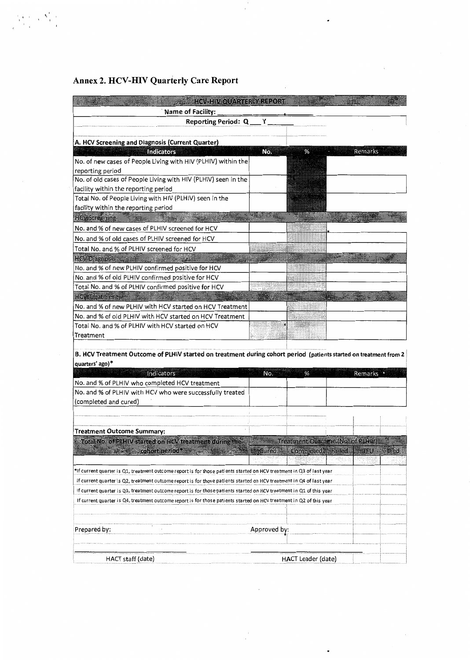# Annex 2. HCV-HIV Quarterly Care Report

 $\frac{\sum\limits_{i=1}^k\sum\limits_{j=1}^k\left(\sum\limits_{j=1}^k\sum\limits_{j=1}^k\right)^2}{\sum\limits_{j=1}^k\sum\limits_{j=1}^k\sum\limits_{j=1}^k\left(\sum\limits_{j=1}^k\sum\limits_{j=1}^k\right)^2}.$ 

| <b>HCV-HIV OUARTERLY REPORT</b>                                |     |   |                |
|----------------------------------------------------------------|-----|---|----------------|
| <b>Name of Facility:</b>                                       |     |   |                |
| Reporting Period: Q__Y_                                        |     |   |                |
|                                                                |     |   |                |
| A. HCV Screening and Diagnosis (Current Quarter)               |     |   |                |
| <b>Indicators</b>                                              | No. | % | <b>Remarks</b> |
| No. of new cases of People Living with HIV (PLHIV) within the  |     |   |                |
| reporting period                                               |     |   |                |
| No. of old cases of People Living with HIV (PLHIV) seen in the |     |   |                |
| facility within the reporting period                           |     |   |                |
| Total No. of People Living with HIV (PLHIV) seen in the        |     |   |                |
| facility within the reporting period                           |     |   |                |
| <b>HCV</b> Screening                                           |     |   |                |
| No, and % of new cases of PLHIV screened for HCV               |     |   |                |
| No. and % of old cases of PLHIV screened for HCV               |     |   |                |
| Total No. and % of PLHIV screened for HCV                      |     |   |                |
| <b>HCV Diagnosis</b>                                           |     |   |                |
| No. and % of new PLHIV confirmed positive for HCV              |     |   |                |
| No. and % of old PLHIV confirmed positive for HCV              |     |   |                |
| Total No. and % of PLHIV confirmed positive for HCV            |     |   |                |
| <b>HCV</b> Treatment                                           |     |   |                |
| No. and % of new PLHIV with HCV started on HCV Treatment       |     |   |                |
| No. and % of old PLHIV with HCV started on HCV Treatment       |     |   |                |
| Total No. and % of PLHIV with HCV started on HCV               |     |   |                |
| Treatment                                                      |     |   |                |

 $\bar{z}$ 

# B. HCV Treatment Outcome of PLHIV started on treatment during cohort period (patients started on treatment from 2 quarters' ago)\*

 $\overline{1}$ 

 $\blacksquare$ 

| Indicators                                                                                                                                                                                                                                    | No.          | %                                | Remarks .   |  |
|-----------------------------------------------------------------------------------------------------------------------------------------------------------------------------------------------------------------------------------------------|--------------|----------------------------------|-------------|--|
| No. and % of PLHIV who completed HCV treatment                                                                                                                                                                                                |              |                                  |             |  |
| No. and % of PLHIV with HCV who were successfully treated<br>(completed and cured)                                                                                                                                                            |              |                                  |             |  |
| <b>Treatment Outcome Summary:</b>                                                                                                                                                                                                             |              |                                  |             |  |
| Total No. of PLHIV started on HCV treatment during the                                                                                                                                                                                        |              | Treatment Outcome (No: of PLHIV) |             |  |
| <b>Exactly cohort period*</b> and with the state of the state of the state of the state of the state of the state of the state of the state of the state of the state of the state of the state of the state of the state of the st           | <b>Cured</b> | Completed My Railed              | <b>ITEU</b> |  |
| *If current quarter is Q1, treatment outcome report is for those patients started on HCV treatment in Q3 of last year<br>If current quarter is Q2, treatment outcome report is for those patients started on HCV treatment in Q4 of last year |              |                                  |             |  |
| If current quarter is Q3, treatment outcome report is for those patients started on HCV treatment in Q1 of this year                                                                                                                          |              |                                  |             |  |
| If current quarter is Q4, treatment outcome report is for those patients started on HCV treatment in Q2 of this year                                                                                                                          |              |                                  |             |  |
|                                                                                                                                                                                                                                               |              |                                  |             |  |
| Prepared by:                                                                                                                                                                                                                                  | Approved by: |                                  |             |  |
| HACT staff (date)                                                                                                                                                                                                                             |              | <b>HACT Leader (date)</b>        |             |  |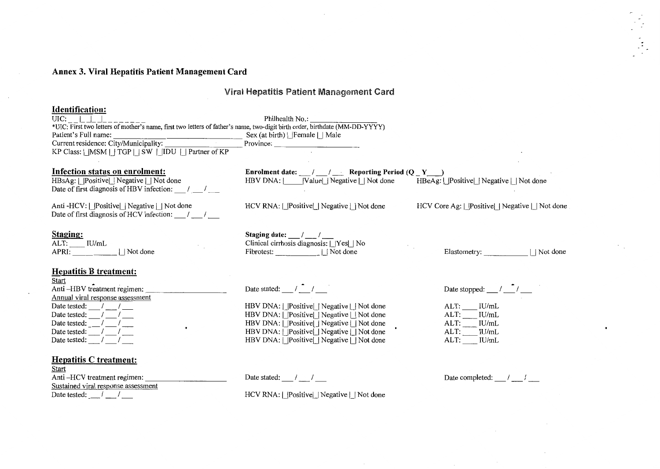### **Annex 3. Viral Hepatitis Patient Management Card**

### Viral Hepatitis Patient Management Card

#### **Identification:**  UIC: \_\_ 1 \_ \_1 \_ \_1\_\_\_\_\_\_\_\_ Philhealth No.: \_\_\_\_\_\_ \_ \*UIC: First two letters of mother's name, first two letters of father's name, two-digit birth order, birthdate (MM-DD-YYYY) Patient's Full name:<br>
Current residence: City/Municipality: Province:<br>
Province: Current residence: City/Municipality: KP Class:  $|$  |MSM  $|$  | TGP  $|$  | SW  $|$  | IDU  $|$  | Partner of KP **Infection status on enrolment: Enrolment date:** \_ \_I\_ **Reporting Period (Q \_ Y** \_\_j  $HBSAg: |$  Positive | Negative | Not done  $HBV$  DNA:  $|$   $|$  Value  $|$  Negative  $|$  Not done Date of first diagnosis of HBV infection:  $\frac{1}{2}$ Anti -HCV: | |Positive| | Negative | | Not done HCV RNA: I\_IPositiveU Negative U Not done HCV Core Ag: | |Positive| | Negative | | Not done Date of first diagnosis of HCV infection:  $\frac{1}{2}$ **Staging: Staging date:**  $\frac{1}{2}$ ALT: IU/mL Clinical cirrhosis diagnosis:  $|$  |Yes| | No APRI:  $||$  Not done Fibrotest:  $\qquad \qquad \qquad \text{1 Not done}$ Elastometry:  $\qquad \qquad$  | Not done **Hepatitis B treatment:**  Start Anti -HBV tr~atment regimen: \_\_\_\_\_\_\_\_ \_ Date tested: --- Date stated:  $\frac{1}{1}$ Date stopped:  $\frac{1}{\sqrt{2}}$ Anti --HBV treatment regim<br>
Annual viral response asses<br>
Date tested:  $\frac{1}{\sqrt{1-\frac{1}{n}}}$ <br>
Date tested:  $\frac{1}{\sqrt{1-\frac{1}{n}}}$ Annual viral response assessment Annual viral response asses<br>Date tested:  $\frac{1}{\frac{1}{\frac{1}{\frac{1}{\cdots}}}}$ <br>Date tested:  $\frac{1}{\frac{1}{\cdots}}$  /  $\frac{1}{\frac{1}{\cdots}}$ <br>Date tested:  $\frac{1}{\frac{1}{\cdots}}$  /  $\frac{1}{\cdots}$ ALT: IU/mL HBV DNA: | |Positive| | Negative | | Not done  $\frac{1}{2}$ Date tested: ---  $\sqrt{ }$ HBV DNA: I\_IPositiveU Negative U Not done ALT: IU/mL  $HBV DNA: |$  Positive Negative  $|$  Not done ALT: IU/mL  $\sqrt{ }$  $\cdot$  $HBV DNA: [Positive]$  Negative  $|Not$  done ALT: IU/mL  $\sqrt{ }$ ALT: IU/mL HBV DNA: | |Positive| | Negative | | Not done Date tested: **Hepatitis C treatment:**  Start<br>Anti -HCV treatment regimen: Date stated: / / Date completed:  $1$ Sustained viral response assessment

Date tested:  $\sqrt{ }$ 

HCV RNA: | | | Positive| | Negative | | Not done